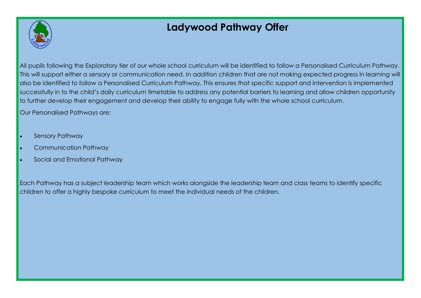

# **Ladywood Pathway Offer**

All pupils following the Exploratory tier of our whole school curriculum will be identified to follow a Personalised Curriculum Pathway. This will support either a sensory or communication need. In addition children that are not making expected progress in learning will also be identified to follow a Personalised Curriculum Pathway. This ensures that specific support and intervention is implemented successfully in to the child's daily curriculum timetable to address any potential barriers to learning and allow children opportunity to further develop their engagement and develop their ability to engage fully with the whole school curriculum.

Our Personalised Pathways are:

- Sensory Pathway
- Communication Pathway
- Social and Emotional Pathway

Each Pathway has a subject leadership team which works alongside the leadership team and class teams to identify specific children to offer a highly bespoke curriculum to meet the individual needs of the children.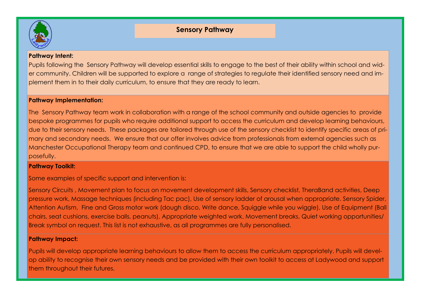

#### **Pathway Intent:**

Pupils following the Sensory Pathway will develop essential skills to engage to the best of their ability within school and wider community. Children will be supported to explore a range of strategies to regulate their identified sensory need and implement them in to their daily curriculum, to ensure that they are ready to learn.

#### **Pathway Implementation:**

The Sensory Pathway team work in collaboration with a range of the school community and outside agencies to provide bespoke programmes for pupils who require additional support to access the curriculum and develop learning behaviours, due to their sensory needs. These packages are tailored through use of the sensory checklist to identify specific areas of primary and secondary needs. We ensure that our offer involves advice from professionals from external agencies such as Manchester Occupational Therapy team and continued CPD, to ensure that we are able to support the child wholly purposefully.

#### **Pathway Toolkit:**

Some examples of specific support and intervention is:

Sensory Circuits , Movement plan to focus on movement development skills, Sensory checklist, TheraBand activities, Deep pressure work, Massage techniques (including Tac pac), Use of sensory ladder of arousal when appropriate. Sensory Spider, Attention Autism, Fine and Gross motor work (dough disco, Write dance, Squiggle while you wiggle), Use of Equipment (Ball chairs, seat cushions, exercise balls, peanuts), Appropriate weighted work. Movement breaks, Quiet working opportunities/ Break symbol on request. This list is not exhaustive, as all programmes are fully personalised.

#### **Pathway Impact:**

Pupils will develop appropriate learning behaviours to allow them to access the curriculum appropriately. Pupils will develop ability to recognise their own sensory needs and be provided with their own toolkit to access at Ladywood and support them throughout their futures.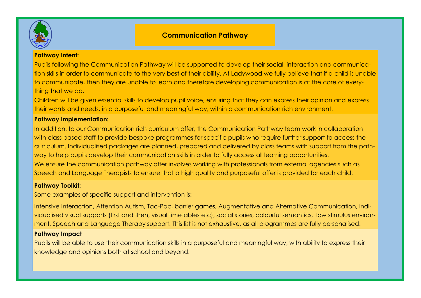

# **Communication Pathway**

#### **Pathway Intent:**

Pupils following the Communication Pathway will be supported to develop their social, interaction and communication skills in order to communicate to the very best of their ability. At Ladywood we fully believe that if a child is unable to communicate, then they are unable to learn and therefore developing communication is at the core of everything that we do.

Children will be given essential skills to develop pupil voice, ensuring that they can express their opinion and express their wants and needs, in a purposeful and meaningful way, within a communication rich environment.

#### **Pathway Implementation:**

In addition, to our Communication rich curriculum offer, the Communication Pathway team work in collaboration with class based staff to provide bespoke programmes for specific pupils who require further support to access the curriculum. Individualised packages are planned, prepared and delivered by class teams with support from the pathway to help pupils develop their communication skills in order to fully access all learning opportunities. We ensure the communication pathway offer involves working with professionals from external agencies such as Speech and Language Therapists to ensure that a high quality and purposeful offer is provided for each child.

#### **Pathway Toolkit:**

Some examples of specific support and intervention is:

Intensive Interaction, Attention Autism, Tac-Pac, barrier games, Augmentative and Alternative Communication, individualised visual supports (first and then, visual timetables etc), social stories, colourful semantics, low stimulus environment, Speech and Language Therapy support. This list is not exhaustive, as all programmes are fully personalised.

#### **Pathway Impact**

Pupils will be able to use their communication skills in a purposeful and meaningful way, with ability to express their knowledge and opinions both at school and beyond.